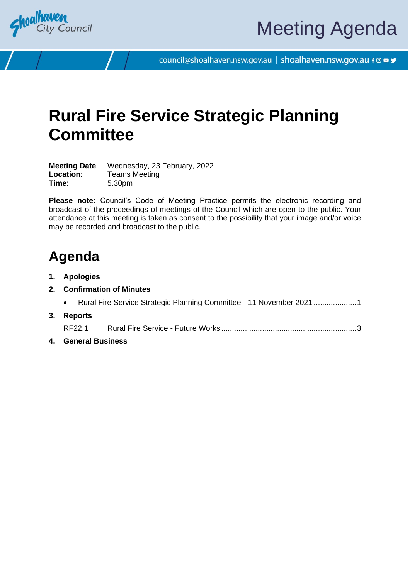

council@shoalhaven.nsw.gov.au | shoalhaven.nsw.gov.au f @ ■ y

# **Rural Fire Service Strategic Planning Committee**

**Meeting Date**: Wednesday, 23 February, 2022 **Location:** Teams Meeting **Time**: 5.30pm

**Please note:** Council's Code of Meeting Practice permits the electronic recording and broadcast of the proceedings of meetings of the Council which are open to the public. Your attendance at this meeting is taken as consent to the possibility that your image and/or voice may be recorded and broadcast to the public.

## **Agenda**

- **1. Apologies**
- **2. Confirmation of Minutes**
	- Rural Fire Service Strategic Planning Committee 11 November 2021 ...................[.1](#page-2-0)
- **3. Reports** RF22.1 Rural Fire Service - Future Works ..............................................................[.3](#page-4-0)
- **4. General Business**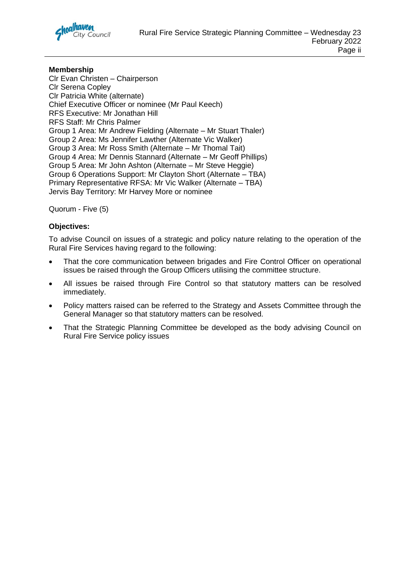

#### **Membership**

Clr Evan Christen – Chairperson Clr Serena Copley Clr Patricia White (alternate) Chief Executive Officer or nominee (Mr Paul Keech) RFS Executive: Mr Jonathan Hill RFS Staff: Mr Chris Palmer Group 1 Area: Mr Andrew Fielding (Alternate – Mr Stuart Thaler) Group 2 Area: Ms Jennifer Lawther (Alternate Vic Walker) Group 3 Area: Mr Ross Smith (Alternate – Mr Thomal Tait) Group 4 Area: Mr Dennis Stannard (Alternate – Mr Geoff Phillips) Group 5 Area: Mr John Ashton (Alternate – Mr Steve Heggie) Group 6 Operations Support: Mr Clayton Short (Alternate – TBA) Primary Representative RFSA: Mr Vic Walker (Alternate – TBA) Jervis Bay Territory: Mr Harvey More or nominee

Quorum - Five (5)

#### **Objectives:**

To advise Council on issues of a strategic and policy nature relating to the operation of the Rural Fire Services having regard to the following:

- That the core communication between brigades and Fire Control Officer on operational issues be raised through the Group Officers utilising the committee structure.
- All issues be raised through Fire Control so that statutory matters can be resolved immediately.
- Policy matters raised can be referred to the Strategy and Assets Committee through the General Manager so that statutory matters can be resolved.
- That the Strategic Planning Committee be developed as the body advising Council on Rural Fire Service policy issues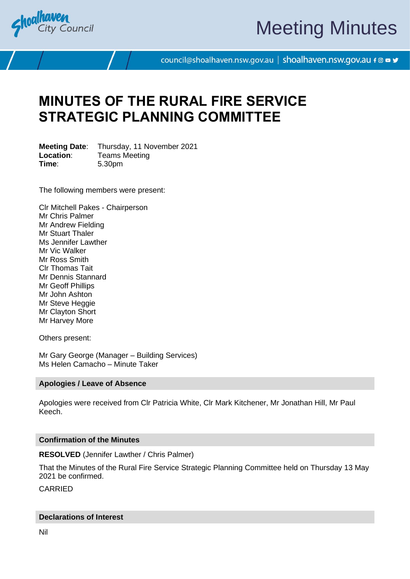<span id="page-2-0"></span>

# Meeting Minutes

council@shoalhaven.nsw.gov.au | shoalhaven.nsw.gov.au f @ ■ y

## **MINUTES OF THE RURAL FIRE SERVICE STRATEGIC PLANNING COMMITTEE**

**Meeting Date**: Thursday, 11 November 2021 **Location:** Teams Meeting **Time**: 5.30pm

The following members were present:

Clr Mitchell Pakes - Chairperson Mr Chris Palmer Mr Andrew Fielding Mr Stuart Thaler Ms Jennifer Lawther Mr Vic Walker Mr Ross Smith Clr Thomas Tait Mr Dennis Stannard Mr Geoff Phillips Mr John Ashton Mr Steve Heggie Mr Clayton Short Mr Harvey More

Others present:

Mr Gary George (Manager – Building Services) Ms Helen Camacho – Minute Taker

#### **Apologies / Leave of Absence**

Apologies were received from Clr Patricia White, Clr Mark Kitchener, Mr Jonathan Hill, Mr Paul Keech.

#### **Confirmation of the Minutes**

#### **RESOLVED** (Jennifer Lawther / Chris Palmer)

That the Minutes of the Rural Fire Service Strategic Planning Committee held on Thursday 13 May 2021 be confirmed.

CARRIED

#### **Declarations of Interest**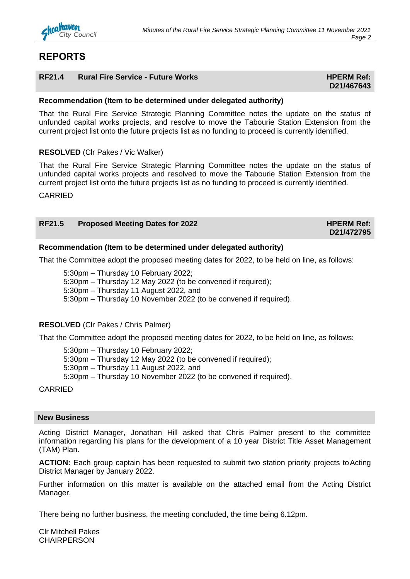### **REPORTS**

#### **RF21.4 Rural Fire Service - Future Works HPERM Ref: HPERM Ref:**

## **D21/467643**

#### **Recommendation (Item to be determined under delegated authority)**

That the Rural Fire Service Strategic Planning Committee notes the update on the status of unfunded capital works projects, and resolve to move the Tabourie Station Extension from the current project list onto the future projects list as no funding to proceed is currently identified.

#### **RESOLVED** (Clr Pakes / Vic Walker)

That the Rural Fire Service Strategic Planning Committee notes the update on the status of unfunded capital works projects and resolved to move the Tabourie Station Extension from the current project list onto the future projects list as no funding to proceed is currently identified.

CARRIED

| <b>RF21.5</b><br><b>Proposed Meeting Dates for 2022</b> |  | <b>HPERM Ref:</b> |
|---------------------------------------------------------|--|-------------------|
|                                                         |  | D21/472795        |

#### **Recommendation (Item to be determined under delegated authority)**

That the Committee adopt the proposed meeting dates for 2022, to be held on line, as follows:

5:30pm – Thursday 10 February 2022; 5:30pm – Thursday 12 May 2022 (to be convened if required); 5:30pm – Thursday 11 August 2022, and 5:30pm – Thursday 10 November 2022 (to be convened if required).

#### **RESOLVED** (Clr Pakes / Chris Palmer)

That the Committee adopt the proposed meeting dates for 2022, to be held on line, as follows:

5:30pm – Thursday 10 February 2022; 5:30pm – Thursday 12 May 2022 (to be convened if required); 5:30pm – Thursday 11 August 2022, and 5:30pm – Thursday 10 November 2022 (to be convened if required).

#### CARRIED

#### **New Business**

Acting District Manager, Jonathan Hill asked that Chris Palmer present to the committee information regarding his plans for the development of a 10 year District Title Asset Management (TAM) Plan.

ACTION: Each group captain has been requested to submit two station priority projects to Acting District Manager by January 2022.

Further information on this matter is available on the attached email from the Acting District Manager.

There being no further business, the meeting concluded, the time being 6.12pm.

Clr Mitchell Pakes **CHAIRPERSON**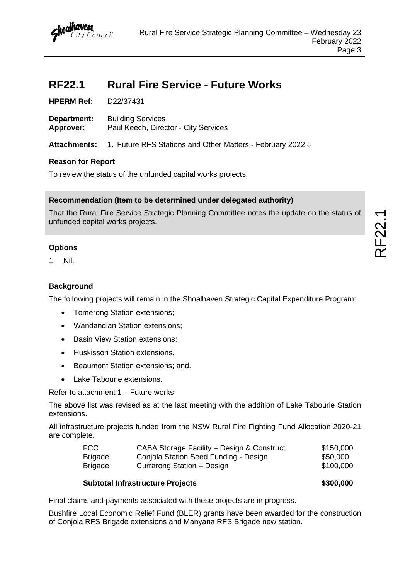

## <span id="page-4-0"></span>**RF22.1 Rural Fire Service - Future Works**

**HPERM Ref:** D22/37431

**Department:** Building Services **Approver:** Paul Keech, Director - City Services

Attachments: 1. Future RFS Stations and Other Matters - February 2022 <u>U</u>

#### **Reason for Report**

To review the status of the unfunded capital works projects.

#### **Recommendation (Item to be determined under delegated authority)**

That the Rural Fire Service Strategic Planning Committee notes the update on the status of unfunded capital works projects.

#### **Options**

1. Nil.

#### **Background**

The following projects will remain in the Shoalhaven Strategic Capital Expenditure Program:

- Tomerong Station extensions;
- Wandandian Station extensions;
- Basin View Station extensions;
- Huskisson Station extensions,
- Beaumont Station extensions; and.
- Lake Tabourie extensions.

Refer to attachment 1 – Future works

The above list was revised as at the last meeting with the addition of Lake Tabourie Station extensions.

All infrastructure projects funded from the NSW Rural Fire Fighting Fund Allocation 2020-21 are complete.

| FCC            | CABA Storage Facility - Design & Construct | \$150,000 |
|----------------|--------------------------------------------|-----------|
| <b>Brigade</b> | Conjola Station Seed Funding - Design      | \$50,000  |
| <b>Brigade</b> | Currarong Station – Design                 | \$100,000 |

#### **Subtotal Infrastructure Projects 1996 1997 1998 \$300,000**

Final claims and payments associated with these projects are in progress.

Bushfire Local Economic Relief Fund (BLER) grants have been awarded for the construction of Conjola RFS Brigade extensions and Manyana RFS Brigade new station.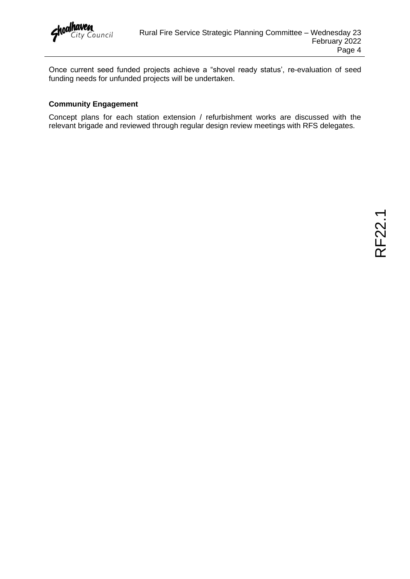

Once current seed funded projects achieve a "shovel ready status', re-evaluation of seed funding needs for unfunded projects will be undertaken.

#### **Community Engagement**

Concept plans for each station extension / refurbishment works are discussed with the relevant brigade and reviewed through regular design review meetings with RFS delegates.